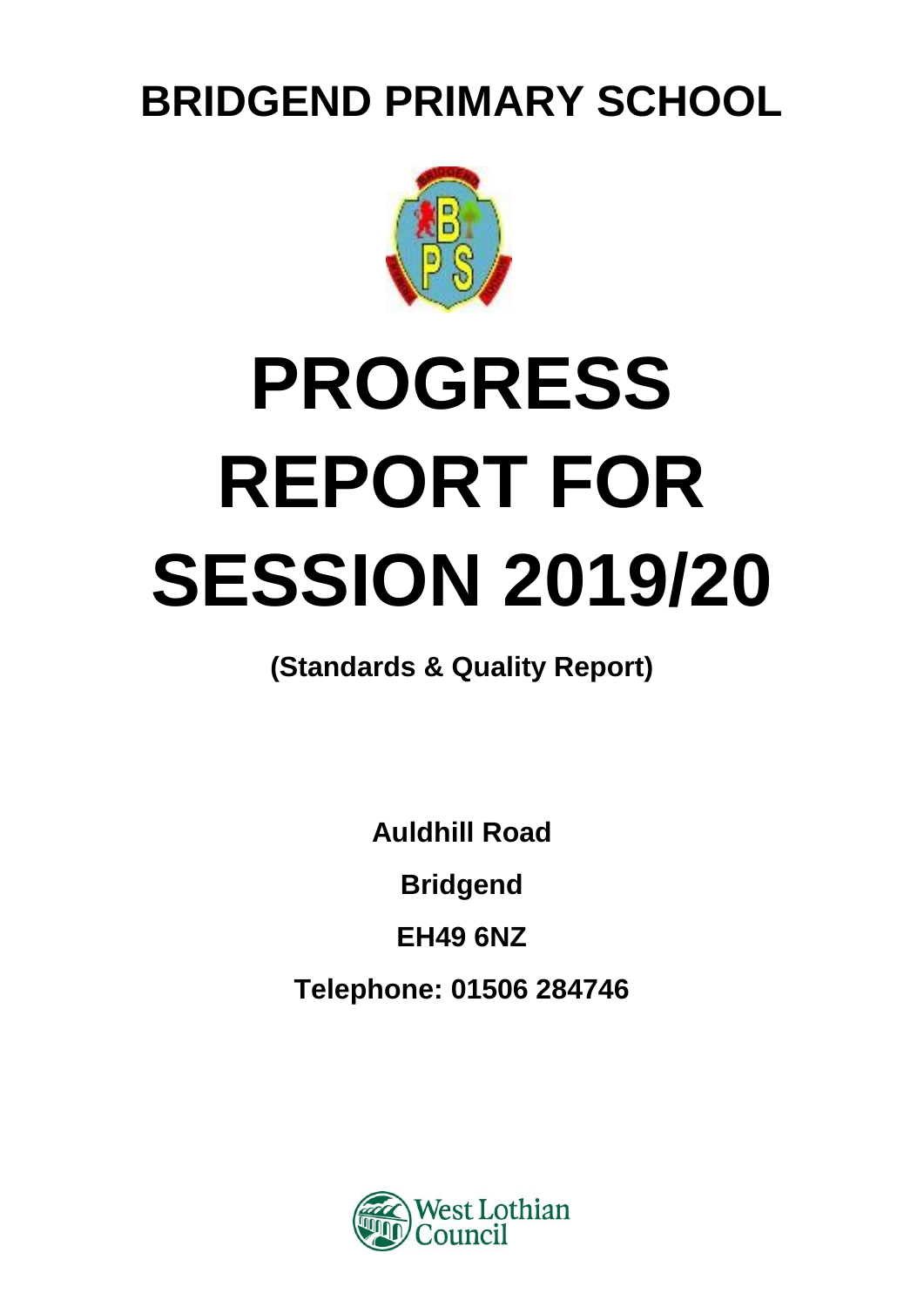**BRIDGEND PRIMARY SCHOOL**



# **PROGRESS REPORT FOR SESSION 2019/20**

**(Standards & Quality Report)**

**Auldhill Road**

**Bridgend**

**EH49 6NZ**

**Telephone: 01506 284746**

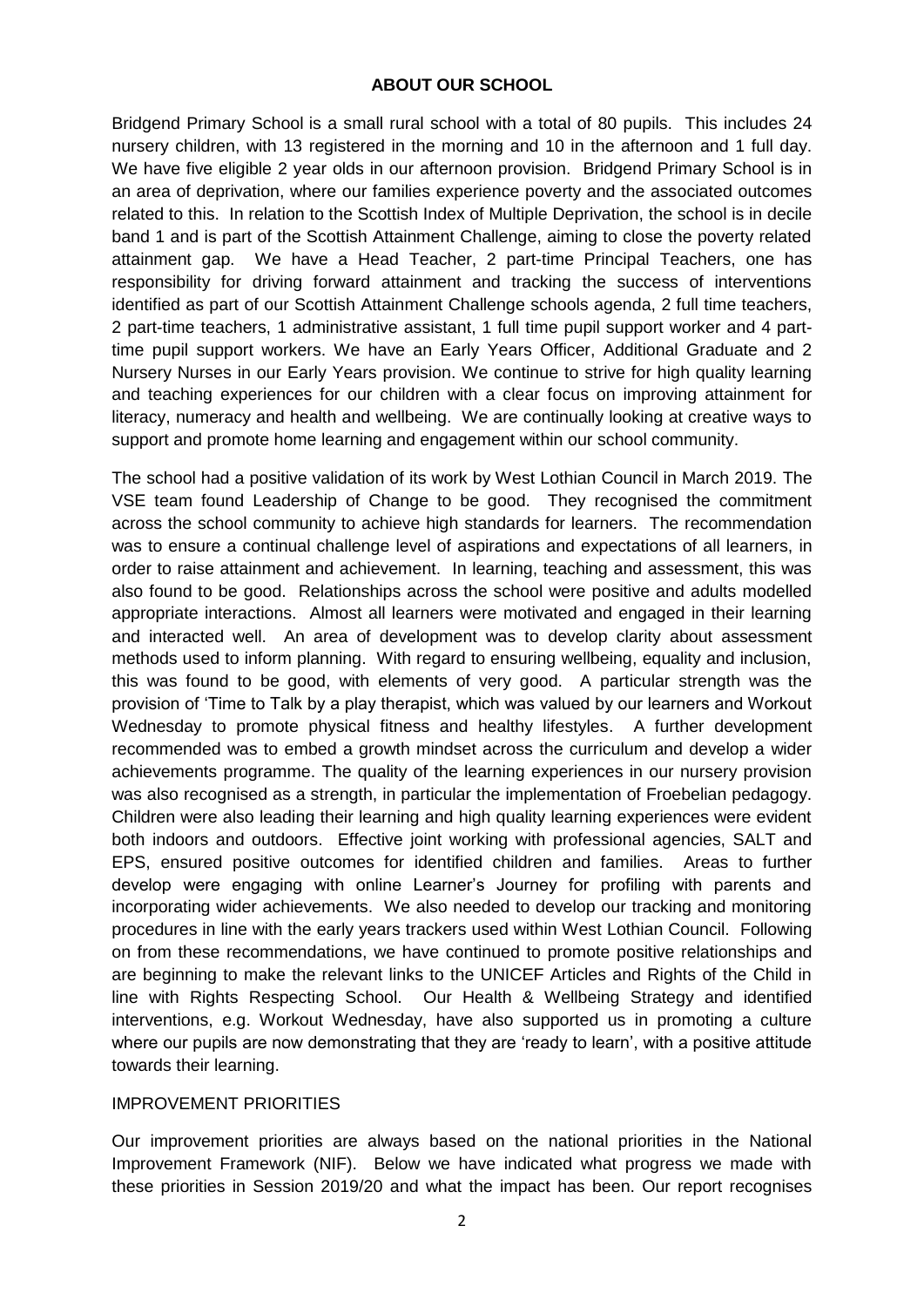## **ABOUT OUR SCHOOL**

Bridgend Primary School is a small rural school with a total of 80 pupils. This includes 24 nursery children, with 13 registered in the morning and 10 in the afternoon and 1 full day. We have five eligible 2 year olds in our afternoon provision. Bridgend Primary School is in an area of deprivation, where our families experience poverty and the associated outcomes related to this. In relation to the Scottish Index of Multiple Deprivation, the school is in decile band 1 and is part of the Scottish Attainment Challenge, aiming to close the poverty related attainment gap. We have a Head Teacher, 2 part-time Principal Teachers, one has responsibility for driving forward attainment and tracking the success of interventions identified as part of our Scottish Attainment Challenge schools agenda, 2 full time teachers, 2 part-time teachers, 1 administrative assistant, 1 full time pupil support worker and 4 parttime pupil support workers. We have an Early Years Officer, Additional Graduate and 2 Nursery Nurses in our Early Years provision. We continue to strive for high quality learning and teaching experiences for our children with a clear focus on improving attainment for literacy, numeracy and health and wellbeing. We are continually looking at creative ways to support and promote home learning and engagement within our school community.

The school had a positive validation of its work by West Lothian Council in March 2019. The VSE team found Leadership of Change to be good. They recognised the commitment across the school community to achieve high standards for learners. The recommendation was to ensure a continual challenge level of aspirations and expectations of all learners, in order to raise attainment and achievement. In learning, teaching and assessment, this was also found to be good. Relationships across the school were positive and adults modelled appropriate interactions. Almost all learners were motivated and engaged in their learning and interacted well. An area of development was to develop clarity about assessment methods used to inform planning. With regard to ensuring wellbeing, equality and inclusion, this was found to be good, with elements of very good. A particular strength was the provision of 'Time to Talk by a play therapist, which was valued by our learners and Workout Wednesday to promote physical fitness and healthy lifestyles. A further development recommended was to embed a growth mindset across the curriculum and develop a wider achievements programme. The quality of the learning experiences in our nursery provision was also recognised as a strength, in particular the implementation of Froebelian pedagogy. Children were also leading their learning and high quality learning experiences were evident both indoors and outdoors. Effective joint working with professional agencies, SALT and EPS, ensured positive outcomes for identified children and families. Areas to further develop were engaging with online Learner's Journey for profiling with parents and incorporating wider achievements. We also needed to develop our tracking and monitoring procedures in line with the early years trackers used within West Lothian Council. Following on from these recommendations, we have continued to promote positive relationships and are beginning to make the relevant links to the UNICEF Articles and Rights of the Child in line with Rights Respecting School. Our Health & Wellbeing Strategy and identified interventions, e.g. Workout Wednesday, have also supported us in promoting a culture where our pupils are now demonstrating that they are 'ready to learn', with a positive attitude towards their learning.

### IMPROVEMENT PRIORITIES

Our improvement priorities are always based on the national priorities in the National Improvement Framework (NIF). Below we have indicated what progress we made with these priorities in Session 2019/20 and what the impact has been. Our report recognises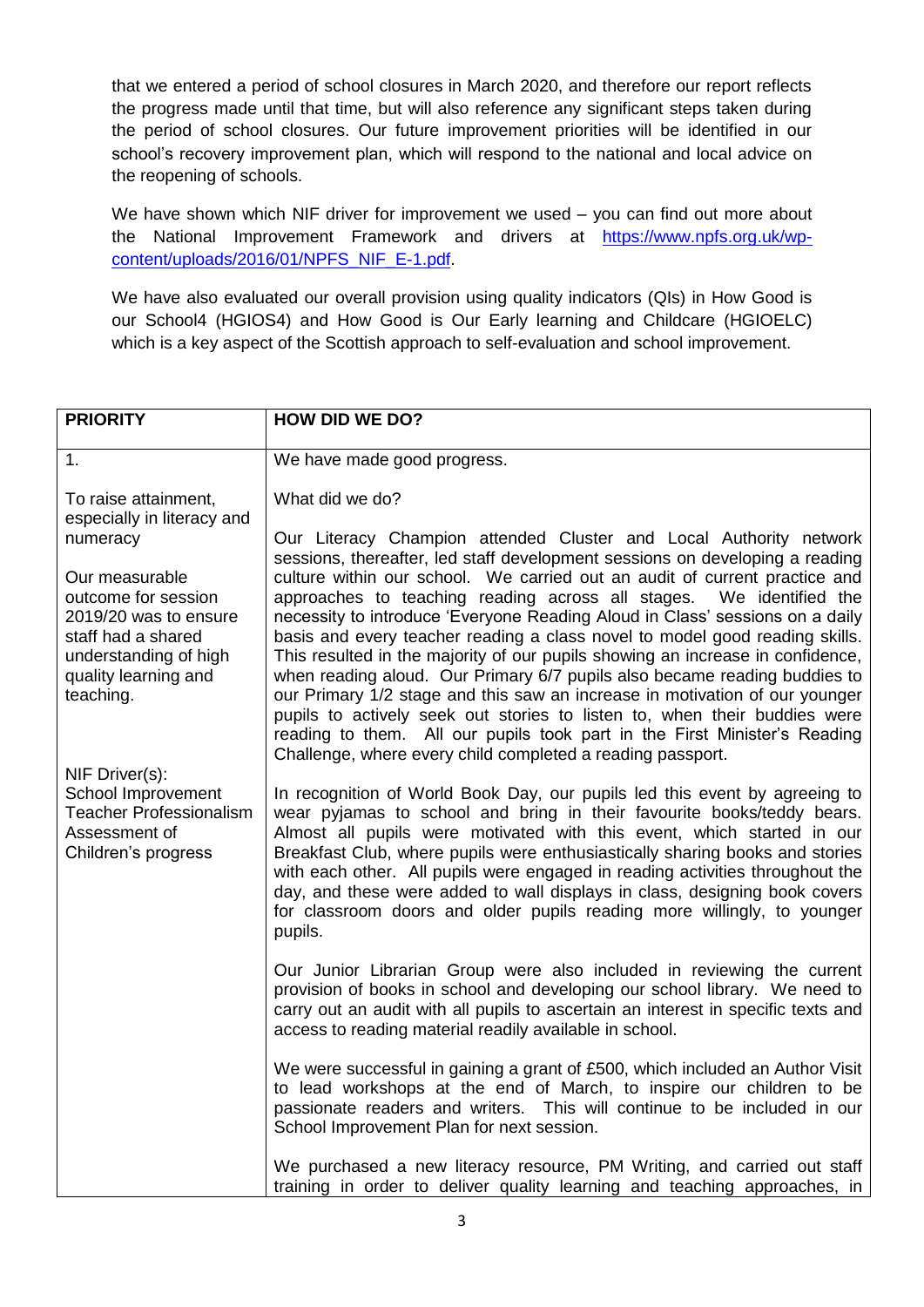that we entered a period of school closures in March 2020, and therefore our report reflects the progress made until that time, but will also reference any significant steps taken during the period of school closures. Our future improvement priorities will be identified in our school's recovery improvement plan, which will respond to the national and local advice on the reopening of schools.

We have shown which NIF driver for improvement we used – you can find out more about the National Improvement Framework and drivers at [https://www.npfs.org.uk/wp](https://www.npfs.org.uk/wp-content/uploads/2016/01/NPFS_NIF_E-1.pdf)[content/uploads/2016/01/NPFS\\_NIF\\_E-1.pdf.](https://www.npfs.org.uk/wp-content/uploads/2016/01/NPFS_NIF_E-1.pdf)

We have also evaluated our overall provision using quality indicators (QIs) in How Good is our School4 (HGIOS4) and How Good is Our Early learning and Childcare (HGIOELC) which is a key aspect of the Scottish approach to self-evaluation and school improvement.

| <b>PRIORITY</b>                                                                                                                                    | <b>HOW DID WE DO?</b>                                                                                                                                                                                                                                                                                                                                                                                                                                                                                                                                                                                                                                                                                                                                                                  |
|----------------------------------------------------------------------------------------------------------------------------------------------------|----------------------------------------------------------------------------------------------------------------------------------------------------------------------------------------------------------------------------------------------------------------------------------------------------------------------------------------------------------------------------------------------------------------------------------------------------------------------------------------------------------------------------------------------------------------------------------------------------------------------------------------------------------------------------------------------------------------------------------------------------------------------------------------|
| 1.                                                                                                                                                 | We have made good progress.                                                                                                                                                                                                                                                                                                                                                                                                                                                                                                                                                                                                                                                                                                                                                            |
| To raise attainment,<br>especially in literacy and<br>numeracy                                                                                     | What did we do?<br>Our Literacy Champion attended Cluster and Local Authority network<br>sessions, thereafter, led staff development sessions on developing a reading                                                                                                                                                                                                                                                                                                                                                                                                                                                                                                                                                                                                                  |
| Our measurable<br>outcome for session<br>2019/20 was to ensure<br>staff had a shared<br>understanding of high<br>quality learning and<br>teaching. | culture within our school. We carried out an audit of current practice and<br>approaches to teaching reading across all stages. We identified the<br>necessity to introduce 'Everyone Reading Aloud in Class' sessions on a daily<br>basis and every teacher reading a class novel to model good reading skills.<br>This resulted in the majority of our pupils showing an increase in confidence,<br>when reading aloud. Our Primary 6/7 pupils also became reading buddies to<br>our Primary 1/2 stage and this saw an increase in motivation of our younger<br>pupils to actively seek out stories to listen to, when their buddies were<br>reading to them. All our pupils took part in the First Minister's Reading<br>Challenge, where every child completed a reading passport. |
| NIF Driver(s):<br>School Improvement<br><b>Teacher Professionalism</b><br>Assessment of<br>Children's progress                                     | In recognition of World Book Day, our pupils led this event by agreeing to<br>wear pyjamas to school and bring in their favourite books/teddy bears.<br>Almost all pupils were motivated with this event, which started in our<br>Breakfast Club, where pupils were enthusiastically sharing books and stories<br>with each other. All pupils were engaged in reading activities throughout the<br>day, and these were added to wall displays in class, designing book covers<br>for classroom doors and older pupils reading more willingly, to younger<br>pupils.                                                                                                                                                                                                                    |
|                                                                                                                                                    | Our Junior Librarian Group were also included in reviewing the current<br>provision of books in school and developing our school library. We need to<br>carry out an audit with all pupils to ascertain an interest in specific texts and<br>access to reading material readily available in school.                                                                                                                                                                                                                                                                                                                                                                                                                                                                                   |
|                                                                                                                                                    | We were successful in gaining a grant of £500, which included an Author Visit<br>to lead workshops at the end of March, to inspire our children to be<br>passionate readers and writers. This will continue to be included in our<br>School Improvement Plan for next session.                                                                                                                                                                                                                                                                                                                                                                                                                                                                                                         |
|                                                                                                                                                    | We purchased a new literacy resource, PM Writing, and carried out staff<br>training in order to deliver quality learning and teaching approaches, in                                                                                                                                                                                                                                                                                                                                                                                                                                                                                                                                                                                                                                   |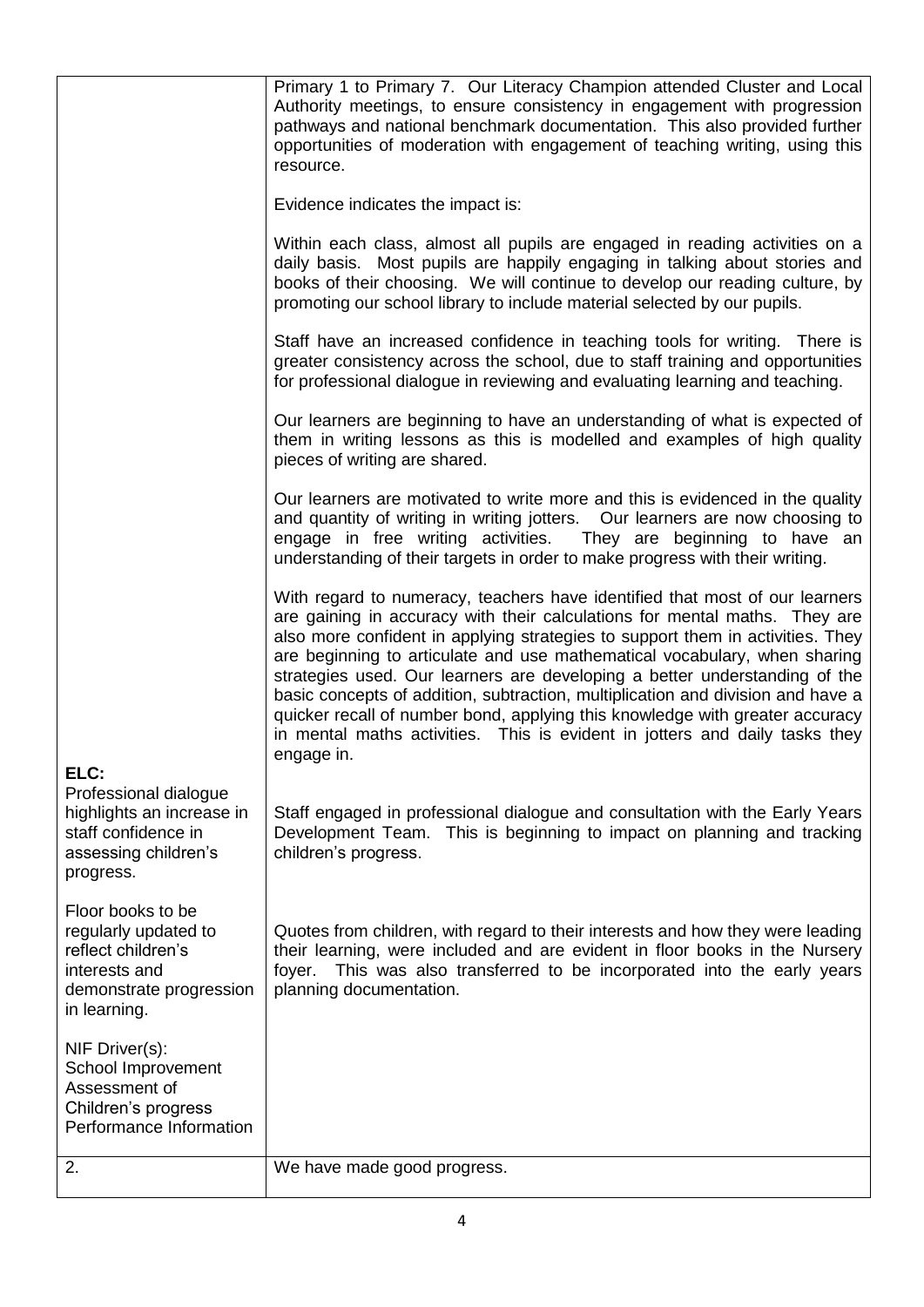|                                                                                                                             | Primary 1 to Primary 7. Our Literacy Champion attended Cluster and Local<br>Authority meetings, to ensure consistency in engagement with progression<br>pathways and national benchmark documentation. This also provided further<br>opportunities of moderation with engagement of teaching writing, using this<br>resource.                                                                                                                                                                                                                                                                                                                                          |
|-----------------------------------------------------------------------------------------------------------------------------|------------------------------------------------------------------------------------------------------------------------------------------------------------------------------------------------------------------------------------------------------------------------------------------------------------------------------------------------------------------------------------------------------------------------------------------------------------------------------------------------------------------------------------------------------------------------------------------------------------------------------------------------------------------------|
|                                                                                                                             | Evidence indicates the impact is:                                                                                                                                                                                                                                                                                                                                                                                                                                                                                                                                                                                                                                      |
|                                                                                                                             | Within each class, almost all pupils are engaged in reading activities on a<br>daily basis. Most pupils are happily engaging in talking about stories and<br>books of their choosing. We will continue to develop our reading culture, by<br>promoting our school library to include material selected by our pupils.                                                                                                                                                                                                                                                                                                                                                  |
|                                                                                                                             | Staff have an increased confidence in teaching tools for writing. There is<br>greater consistency across the school, due to staff training and opportunities<br>for professional dialogue in reviewing and evaluating learning and teaching.                                                                                                                                                                                                                                                                                                                                                                                                                           |
|                                                                                                                             | Our learners are beginning to have an understanding of what is expected of<br>them in writing lessons as this is modelled and examples of high quality<br>pieces of writing are shared.                                                                                                                                                                                                                                                                                                                                                                                                                                                                                |
|                                                                                                                             | Our learners are motivated to write more and this is evidenced in the quality<br>and quantity of writing in writing jotters.  Our learners are now choosing to<br>engage in free writing activities. They are beginning to have an<br>understanding of their targets in order to make progress with their writing.                                                                                                                                                                                                                                                                                                                                                     |
|                                                                                                                             | With regard to numeracy, teachers have identified that most of our learners<br>are gaining in accuracy with their calculations for mental maths. They are<br>also more confident in applying strategies to support them in activities. They<br>are beginning to articulate and use mathematical vocabulary, when sharing<br>strategies used. Our learners are developing a better understanding of the<br>basic concepts of addition, subtraction, multiplication and division and have a<br>quicker recall of number bond, applying this knowledge with greater accuracy<br>in mental maths activities. This is evident in jotters and daily tasks they<br>engage in. |
| ELC:<br>Professional dialogue<br>highlights an increase in<br>staff confidence in<br>assessing children's<br>progress.      | Staff engaged in professional dialogue and consultation with the Early Years<br>Development Team. This is beginning to impact on planning and tracking<br>children's progress.                                                                                                                                                                                                                                                                                                                                                                                                                                                                                         |
| Floor books to be<br>regularly updated to<br>reflect children's<br>interests and<br>demonstrate progression<br>in learning. | Quotes from children, with regard to their interests and how they were leading<br>their learning, were included and are evident in floor books in the Nursery<br>This was also transferred to be incorporated into the early years<br>foyer.<br>planning documentation.                                                                                                                                                                                                                                                                                                                                                                                                |
| NIF Driver(s):<br>School Improvement<br>Assessment of<br>Children's progress<br>Performance Information                     |                                                                                                                                                                                                                                                                                                                                                                                                                                                                                                                                                                                                                                                                        |
| 2.                                                                                                                          | We have made good progress.                                                                                                                                                                                                                                                                                                                                                                                                                                                                                                                                                                                                                                            |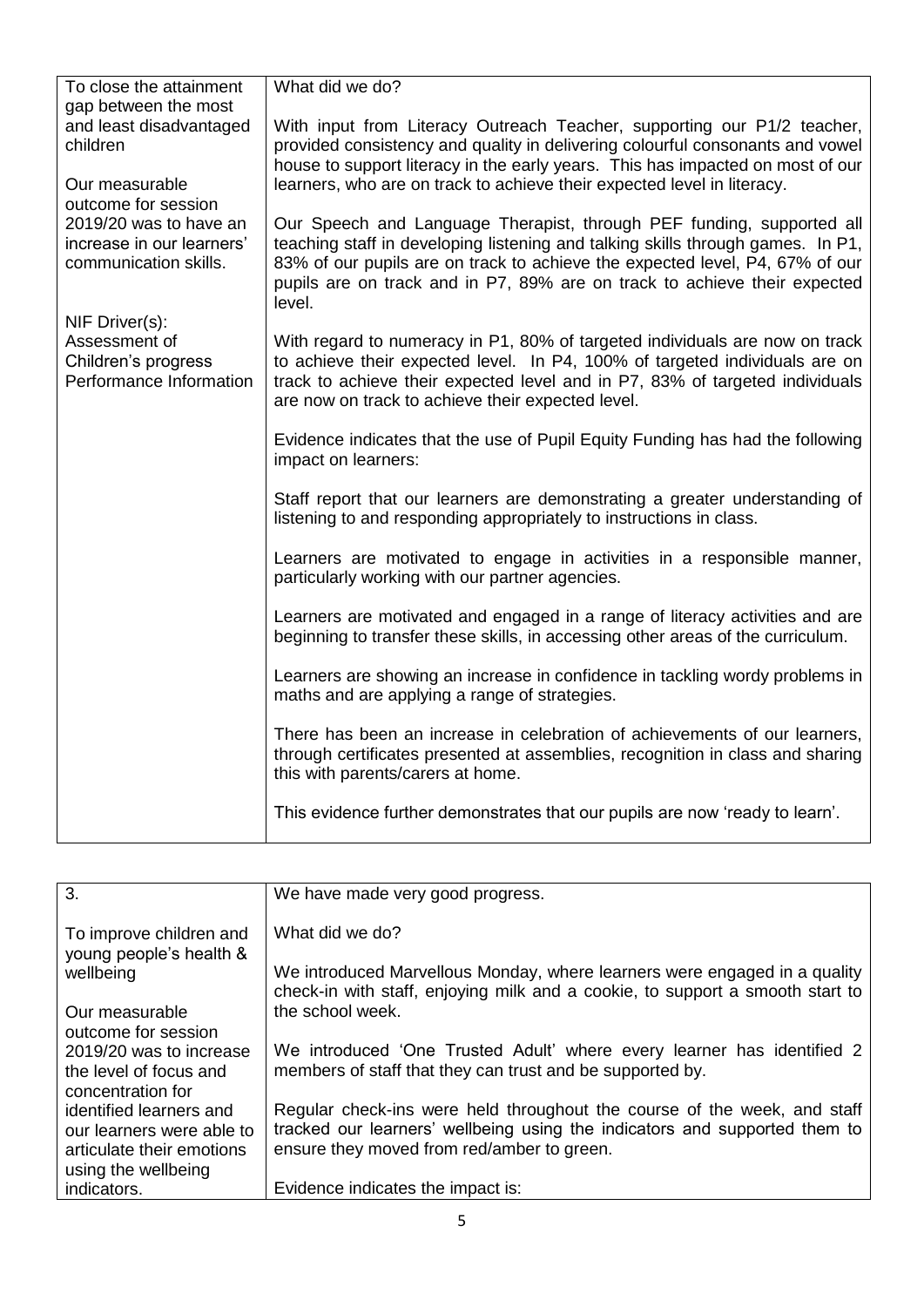| To close the attainment                                                                              | What did we do?                                                                                                                                                                                                                                                                                                                 |
|------------------------------------------------------------------------------------------------------|---------------------------------------------------------------------------------------------------------------------------------------------------------------------------------------------------------------------------------------------------------------------------------------------------------------------------------|
| gap between the most<br>and least disadvantaged<br>children<br>Our measurable<br>outcome for session | With input from Literacy Outreach Teacher, supporting our P1/2 teacher,<br>provided consistency and quality in delivering colourful consonants and vowel<br>house to support literacy in the early years. This has impacted on most of our<br>learners, who are on track to achieve their expected level in literacy.           |
| 2019/20 was to have an<br>increase in our learners'<br>communication skills.                         | Our Speech and Language Therapist, through PEF funding, supported all<br>teaching staff in developing listening and talking skills through games. In P1,<br>83% of our pupils are on track to achieve the expected level, P4, 67% of our<br>pupils are on track and in P7, 89% are on track to achieve their expected<br>level. |
| NIF Driver(s):<br>Assessment of<br>Children's progress<br>Performance Information                    | With regard to numeracy in P1, 80% of targeted individuals are now on track<br>to achieve their expected level. In P4, 100% of targeted individuals are on<br>track to achieve their expected level and in P7, 83% of targeted individuals<br>are now on track to achieve their expected level.                                 |
|                                                                                                      | Evidence indicates that the use of Pupil Equity Funding has had the following<br>impact on learners:                                                                                                                                                                                                                            |
|                                                                                                      | Staff report that our learners are demonstrating a greater understanding of<br>listening to and responding appropriately to instructions in class.                                                                                                                                                                              |
|                                                                                                      | Learners are motivated to engage in activities in a responsible manner,<br>particularly working with our partner agencies.                                                                                                                                                                                                      |
|                                                                                                      | Learners are motivated and engaged in a range of literacy activities and are<br>beginning to transfer these skills, in accessing other areas of the curriculum.                                                                                                                                                                 |
|                                                                                                      | Learners are showing an increase in confidence in tackling wordy problems in<br>maths and are applying a range of strategies.                                                                                                                                                                                                   |
|                                                                                                      | There has been an increase in celebration of achievements of our learners,<br>through certificates presented at assemblies, recognition in class and sharing<br>this with parents/carers at home.                                                                                                                               |
|                                                                                                      | This evidence further demonstrates that our pupils are now 'ready to learn'.                                                                                                                                                                                                                                                    |

| We have made very good progress.                                              |
|-------------------------------------------------------------------------------|
|                                                                               |
|                                                                               |
| What did we do?                                                               |
|                                                                               |
|                                                                               |
| We introduced Marvellous Monday, where learners were engaged in a quality     |
| check-in with staff, enjoying milk and a cookie, to support a smooth start to |
| the school week.                                                              |
|                                                                               |
|                                                                               |
| We introduced 'One Trusted Adult' where every learner has identified 2        |
| members of staff that they can trust and be supported by.                     |
|                                                                               |
|                                                                               |
| Regular check-ins were held throughout the course of the week, and staff      |
| tracked our learners' wellbeing using the indicators and supported them to    |
| ensure they moved from red/amber to green.                                    |
|                                                                               |
|                                                                               |
| Evidence indicates the impact is:                                             |
|                                                                               |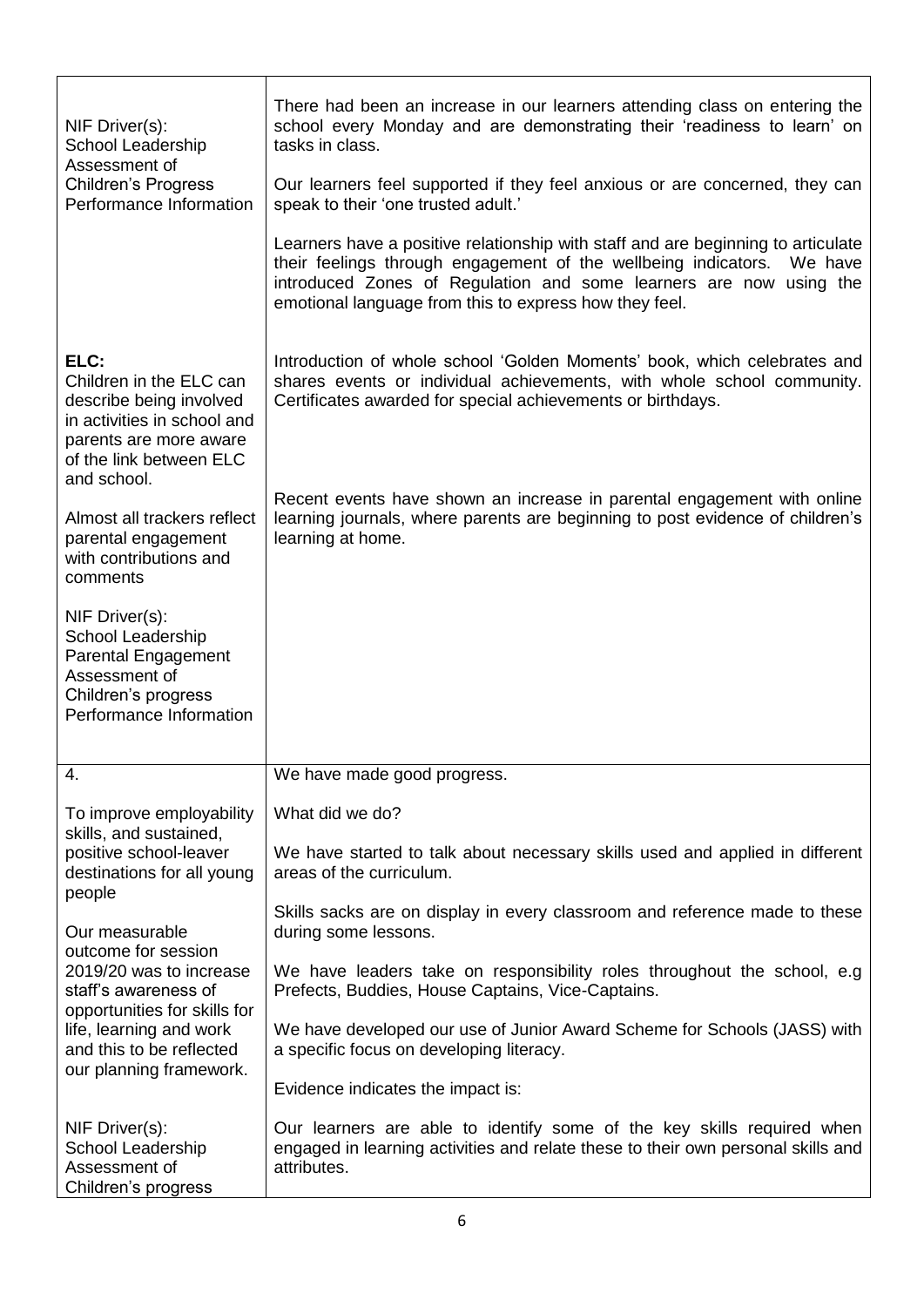| NIF Driver(s):<br>School Leadership<br>Assessment of                                                                                                                            | There had been an increase in our learners attending class on entering the<br>school every Monday and are demonstrating their 'readiness to learn' on<br>tasks in class.                                                                                                                   |  |
|---------------------------------------------------------------------------------------------------------------------------------------------------------------------------------|--------------------------------------------------------------------------------------------------------------------------------------------------------------------------------------------------------------------------------------------------------------------------------------------|--|
| <b>Children's Progress</b><br>Performance Information                                                                                                                           | Our learners feel supported if they feel anxious or are concerned, they can<br>speak to their 'one trusted adult.'                                                                                                                                                                         |  |
|                                                                                                                                                                                 | Learners have a positive relationship with staff and are beginning to articulate<br>their feelings through engagement of the wellbeing indicators. We have<br>introduced Zones of Regulation and some learners are now using the<br>emotional language from this to express how they feel. |  |
| ELC:<br>Children in the ELC can<br>describe being involved<br>in activities in school and<br>parents are more aware<br>of the link between ELC<br>and school.                   | Introduction of whole school 'Golden Moments' book, which celebrates and<br>shares events or individual achievements, with whole school community.<br>Certificates awarded for special achievements or birthdays.                                                                          |  |
| Almost all trackers reflect<br>parental engagement<br>with contributions and<br>comments                                                                                        | Recent events have shown an increase in parental engagement with online<br>learning journals, where parents are beginning to post evidence of children's<br>learning at home.                                                                                                              |  |
| NIF Driver(s):<br>School Leadership<br><b>Parental Engagement</b><br>Assessment of<br>Children's progress<br>Performance Information                                            |                                                                                                                                                                                                                                                                                            |  |
| 4.                                                                                                                                                                              | We have made good progress.                                                                                                                                                                                                                                                                |  |
| To improve employability                                                                                                                                                        | What did we do?                                                                                                                                                                                                                                                                            |  |
| skills, and sustained,<br>positive school-leaver<br>destinations for all young<br>people                                                                                        | We have started to talk about necessary skills used and applied in different<br>areas of the curriculum.                                                                                                                                                                                   |  |
| Our measurable<br>outcome for session<br>2019/20 was to increase<br>staff's awareness of<br>opportunities for skills for<br>life, learning and work<br>and this to be reflected | Skills sacks are on display in every classroom and reference made to these<br>during some lessons.                                                                                                                                                                                         |  |
|                                                                                                                                                                                 | We have leaders take on responsibility roles throughout the school, e.g.<br>Prefects, Buddies, House Captains, Vice-Captains.                                                                                                                                                              |  |
|                                                                                                                                                                                 | We have developed our use of Junior Award Scheme for Schools (JASS) with<br>a specific focus on developing literacy.                                                                                                                                                                       |  |
| our planning framework.                                                                                                                                                         | Evidence indicates the impact is:                                                                                                                                                                                                                                                          |  |
| NIF Driver(s):<br>School Leadership<br>Assessment of<br>Children's progress                                                                                                     | Our learners are able to identify some of the key skills required when<br>engaged in learning activities and relate these to their own personal skills and<br>attributes.                                                                                                                  |  |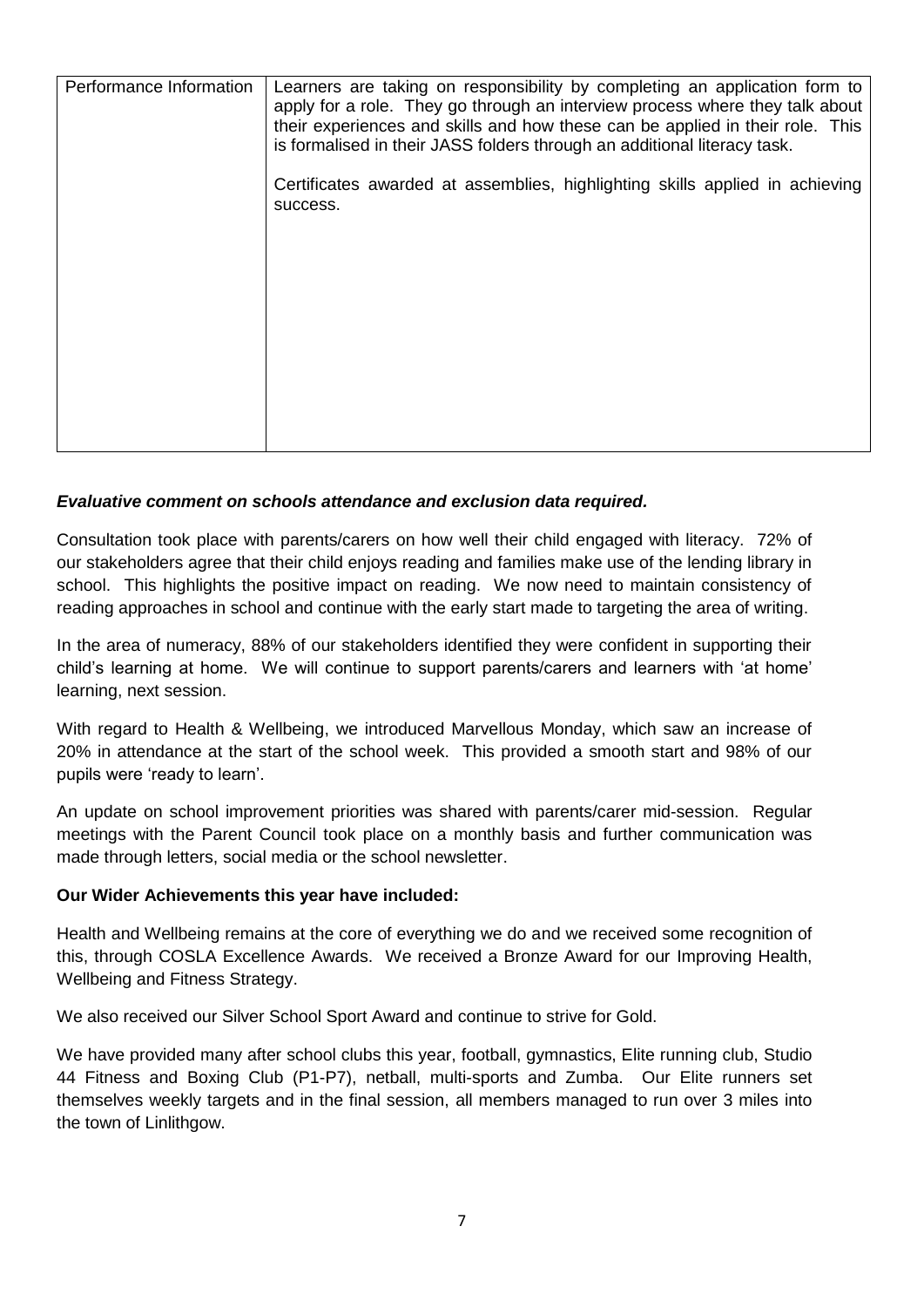| Performance Information | Learners are taking on responsibility by completing an application form to<br>apply for a role. They go through an interview process where they talk about<br>their experiences and skills and how these can be applied in their role. This<br>is formalised in their JASS folders through an additional literacy task. |
|-------------------------|-------------------------------------------------------------------------------------------------------------------------------------------------------------------------------------------------------------------------------------------------------------------------------------------------------------------------|
|                         | Certificates awarded at assemblies, highlighting skills applied in achieving<br>success.                                                                                                                                                                                                                                |
|                         |                                                                                                                                                                                                                                                                                                                         |
|                         |                                                                                                                                                                                                                                                                                                                         |
|                         |                                                                                                                                                                                                                                                                                                                         |

# *Evaluative comment on schools attendance and exclusion data required.*

Consultation took place with parents/carers on how well their child engaged with literacy. 72% of our stakeholders agree that their child enjoys reading and families make use of the lending library in school. This highlights the positive impact on reading. We now need to maintain consistency of reading approaches in school and continue with the early start made to targeting the area of writing.

In the area of numeracy, 88% of our stakeholders identified they were confident in supporting their child's learning at home. We will continue to support parents/carers and learners with 'at home' learning, next session.

With regard to Health & Wellbeing, we introduced Marvellous Monday, which saw an increase of 20% in attendance at the start of the school week. This provided a smooth start and 98% of our pupils were 'ready to learn'.

An update on school improvement priorities was shared with parents/carer mid-session. Regular meetings with the Parent Council took place on a monthly basis and further communication was made through letters, social media or the school newsletter.

### **Our Wider Achievements this year have included:**

Health and Wellbeing remains at the core of everything we do and we received some recognition of this, through COSLA Excellence Awards. We received a Bronze Award for our Improving Health, Wellbeing and Fitness Strategy.

We also received our Silver School Sport Award and continue to strive for Gold.

We have provided many after school clubs this year, football, gymnastics, Elite running club, Studio 44 Fitness and Boxing Club (P1-P7), netball, multi-sports and Zumba. Our Elite runners set themselves weekly targets and in the final session, all members managed to run over 3 miles into the town of Linlithgow.